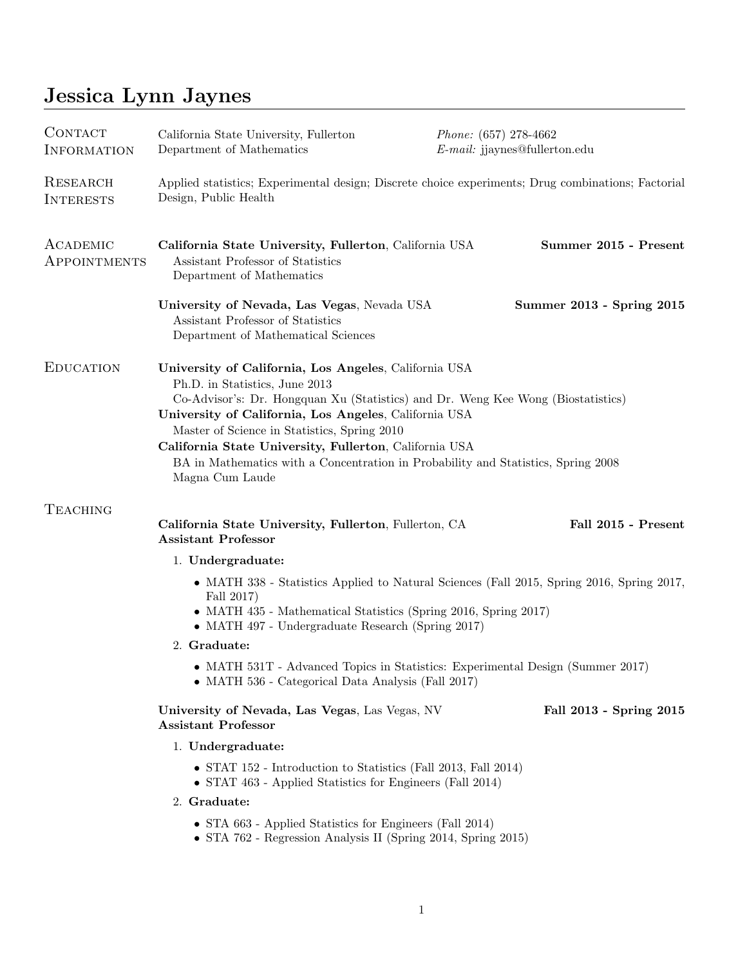# Jessica Lynn Jaynes

| <b>CONTACT</b><br><b>INFORMATION</b> | California State University, Fullerton<br>Department of Mathematics                                                                                                                                                                                                                                                                                                                                                                                    | Phone: (657) 278-4662<br>$E$ -mail: jjaynes@fullerton.edu |                           |
|--------------------------------------|--------------------------------------------------------------------------------------------------------------------------------------------------------------------------------------------------------------------------------------------------------------------------------------------------------------------------------------------------------------------------------------------------------------------------------------------------------|-----------------------------------------------------------|---------------------------|
| RESEARCH<br><b>INTERESTS</b>         | Applied statistics; Experimental design; Discrete choice experiments; Drug combinations; Factorial<br>Design, Public Health                                                                                                                                                                                                                                                                                                                            |                                                           |                           |
| ACADEMIC<br><b>APPOINTMENTS</b>      | California State University, Fullerton, California USA<br>Assistant Professor of Statistics<br>Department of Mathematics                                                                                                                                                                                                                                                                                                                               |                                                           | Summer 2015 - Present     |
|                                      | University of Nevada, Las Vegas, Nevada USA<br>Assistant Professor of Statistics<br>Department of Mathematical Sciences                                                                                                                                                                                                                                                                                                                                |                                                           | Summer 2013 - Spring 2015 |
| <b>EDUCATION</b>                     | University of California, Los Angeles, California USA<br>Ph.D. in Statistics, June 2013<br>Co-Advisor's: Dr. Hongquan Xu (Statistics) and Dr. Weng Kee Wong (Biostatistics)<br>University of California, Los Angeles, California USA<br>Master of Science in Statistics, Spring 2010<br>California State University, Fullerton, California USA<br>BA in Mathematics with a Concentration in Probability and Statistics, Spring 2008<br>Magna Cum Laude |                                                           |                           |
| <b>TEACHING</b>                      | California State University, Fullerton, Fullerton, CA<br><b>Assistant Professor</b>                                                                                                                                                                                                                                                                                                                                                                    |                                                           | Fall 2015 - Present       |
|                                      | 1. Undergraduate:                                                                                                                                                                                                                                                                                                                                                                                                                                      |                                                           |                           |
|                                      | • MATH 338 - Statistics Applied to Natural Sciences (Fall 2015, Spring 2016, Spring 2017,<br>Fall 2017)<br>• MATH 435 - Mathematical Statistics (Spring 2016, Spring 2017)<br>$\bullet$ MATH 497 - Undergraduate Research (Spring 2017)                                                                                                                                                                                                                |                                                           |                           |
|                                      | 2. Graduate:                                                                                                                                                                                                                                                                                                                                                                                                                                           |                                                           |                           |
|                                      | • MATH 531T - Advanced Topics in Statistics: Experimental Design (Summer 2017)<br>• MATH 536 - Categorical Data Analysis (Fall 2017)                                                                                                                                                                                                                                                                                                                   |                                                           |                           |
|                                      | University of Nevada, Las Vegas, Las Vegas, NV<br><b>Assistant Professor</b>                                                                                                                                                                                                                                                                                                                                                                           |                                                           | Fall 2013 - Spring 2015   |
|                                      | 1. Undergraduate:                                                                                                                                                                                                                                                                                                                                                                                                                                      |                                                           |                           |
|                                      | • STAT 152 - Introduction to Statistics (Fall 2013, Fall 2014)<br>• STAT 463 - Applied Statistics for Engineers (Fall 2014)                                                                                                                                                                                                                                                                                                                            |                                                           |                           |
|                                      | 2. Graduate:                                                                                                                                                                                                                                                                                                                                                                                                                                           |                                                           |                           |
|                                      | • STA 663 - Applied Statistics for Engineers (Fall 2014)<br>• STA 762 - Regression Analysis II (Spring 2014, Spring 2015)                                                                                                                                                                                                                                                                                                                              |                                                           |                           |